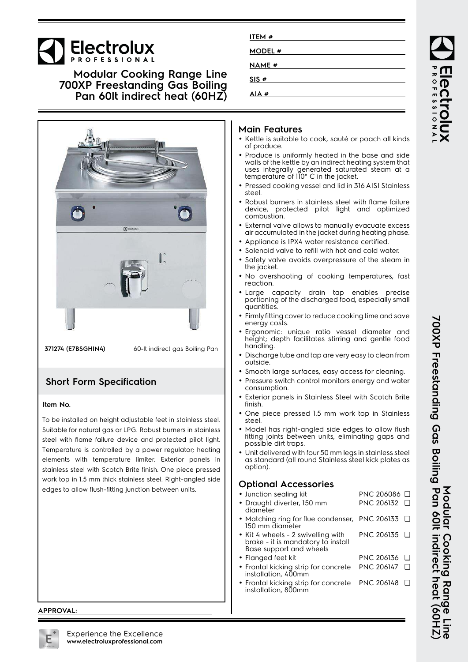# **Electrolux**

### **Modular Cooking Range Line 700XP Freestanding Gas Boiling Pan 60lt indirect heat (60HZ)**



**371274 (E7BSGHIN4)** 60-lt indirect gas Boiling Pan

### **Short Form Specification**

### **Item No.**

To be installed on height adjustable feet in stainless steel. Suitable for natural gas or LPG. Robust burners in stainless steel with flame failure device and protected pilot light. Temperature is controlled by a power regulator; heating elements with temperature limiter. Exterior panels in stainless steel with Scotch Brite finish. One piece pressed work top in 1.5 mm thick stainless steel. Right-angled side edges to allow flush-fitting junction between units.

## **Main Features**

**ITEM # MODEL # NAME # SIS # AIA #**

- Kettle is suitable to cook, sauté or poach all kinds of produce.
- Produce is uniformly heated in the base and side walls of the kettle by an indirect heating system that uses integrally generated saturated steam at a temperature of 110° C in the jacket.
- Pressed cooking vessel and lid in 316 AISI Stainless steel.
- Robust burners in stainless steel with flame failure device, protected pilot light and optimized combustion.
- External valve allows to manually evacuate excess air accumulated in the jacket during heating phase.
- Appliance is IPX4 water resistance certified.
- Solenoid valve to refill with hot and cold water.
- • Safety valve avoids overpressure of the steam in the jacket.
- No overshooting of cooking temperatures, fast reaction.
- Large capacity drain tap enables precise portioning of the discharged food, especially small quantities.
- Firmly fitting cover to reduce cooking time and save energy costs.
- • Ergonomic: unique ratio vessel diameter and height; depth facilitates stirring and gentle food handling.
- Discharge tube and tap are very easy to clean from outside.
- Smooth large surfaces, easy access for cleaning.
- Pressure switch control monitors energy and water consumption.
- • Exterior panels in Stainless Steel with Scotch Brite finish.
- • One piece pressed 1.5 mm work top in Stainless steel.
- • Model has right-angled side edges to allow flush fitting joints between units, eliminating gaps and possible dirt traps.
- Unit delivered with four 50 mm legs in stainless steel as standard (all round Stainless steel kick plates as option).

### **Optional Accessories**

- Junction sealing kit PNC 206086 ❑
- Draught diverter, 150 mm PNC 206132 ❑
- diameter •• Matching ring for flue condenser, PNC 206133 □ 150 mm diameter
- Kit 4 wheels 2 swivelling with brake - it is mandatory to install Base support and wheels PNC 206135 ❑
- Flanged feet kit PNC 206136 ❑
- • Frontal kicking strip for concrete installation, 400mm PNC 206147 ❑
- Frontal kicking strip for concrete installation, 800mm PNC 206148 ❑

# **Modular Cooking Range Line 700XP Freestanding Gas Boiling Pan 60lt indirect heat (60HZ)** 700XP Freestanding Gas Boiling Pan 60It indirect heat (60HZ)<br>700XP Freestanding Gas Boiling Pan 60It indirect heat (60HZ) Modular Cooking Rang

ROFESSIONA

### **APPROVAL:**

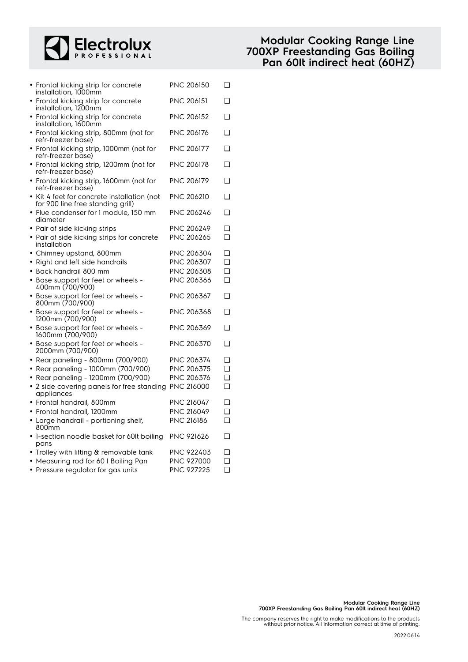

| • Frontal kicking strip for concrete<br>installation, 1000mm                     | PNC 206150        | ❏        |
|----------------------------------------------------------------------------------|-------------------|----------|
| • Frontal kicking strip for concrete<br>installation, 1200mm                     | <b>PNC 206151</b> | ❏        |
| • Frontal kicking strip for concrete<br>installation, 1600mm                     | <b>PNC 206152</b> | ◻        |
| • Frontal kicking strip, 800mm (not for<br>refr-freezer base)                    | <b>PNC 206176</b> | ◻        |
| • Frontal kicking strip, 1000mm (not for<br>refr-freezer base)                   | PNC 206177        | <b>□</b> |
| • Frontal kicking strip, 1200mm (not for<br>refr-freezer base)                   | PNC 206178        | ❏        |
| • Frontal kicking strip, 1600mm (not for<br>refr-freezer base)                   | PNC 206179        | $\Box$   |
| • Kit 4 feet for concrete installation (not<br>for 900 line free standing grill) | <b>PNC 206210</b> | ❏        |
| • Flue condenser for 1 module, 150 mm<br>diameter                                | <b>PNC 206246</b> | ◻        |
| • Pair of side kicking strips                                                    | PNC 206249        | ◻        |
| • Pair of side kicking strips for concrete<br>installation                       | PNC 206265        | $\Box$   |
| • Chimney upstand, 800mm                                                         | PNC 206304        | ❏        |
| Right and left side handrails<br>٠                                               | PNC 206307        | $\Box$   |
| • Back handrail 800 mm                                                           | PNC 206308        | $\Box$   |
| • Base support for feet or wheels -<br>400mm (700/900)                           | PNC 206366        | $\Box$   |
| • Base support for feet or wheels -<br>800mm (700/900)                           | PNC 206367        | ◻        |
| • Base support for feet or wheels -<br>1200mm (700/900)                          | <b>PNC 206368</b> | ❏        |
| • Base support for feet or wheels -<br>1600mm (700/900)                          | <b>PNC 206369</b> | ❏        |
| • Base support for feet or wheels -<br>2000mm (700/900)                          | <b>PNC 206370</b> | ❏        |
| • Rear paneling - 800mm (700/900)                                                | PNC 206374        | ❏        |
| • Rear paneling - 1000mm (700/900)                                               | PNC 206375        | $\Box$   |
| • Rear paneling - 1200mm (700/900)                                               | PNC 206376        | ❏        |
| • 2 side covering panels for free standing<br>appliances                         | <b>PNC 216000</b> | $\Box$   |
| • Frontal handrail, 800mm                                                        | PNC 216047        | ❏        |
| • Frontal handrail, 1200mm                                                       | <b>PNC 216049</b> | $\Box$   |
| • Large handrail - portioning shelf,<br>800mm                                    | PNC 216186        | $\Box$   |
| • 1-section noodle basket for 60lt boiling<br>pans                               | <b>PNC 921626</b> | ❏        |
| $\bullet$ Trolley with lifting & removable tank                                  | <b>PNC 922403</b> | $\Box$   |
| • Measuring rod for 60 I Boiling Pan                                             | PNC 927000        | ◻        |
| • Pressure regulator for gas units                                               | PNC 927225        | $\Box$   |